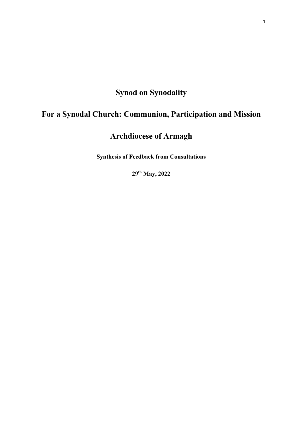# **Synod on Synodality**

# **For a Synodal Church: Communion, Participation and Mission**

# **Archdiocese of Armagh**

**Synthesis of Feedback from Consultations**

**29th May, 2022**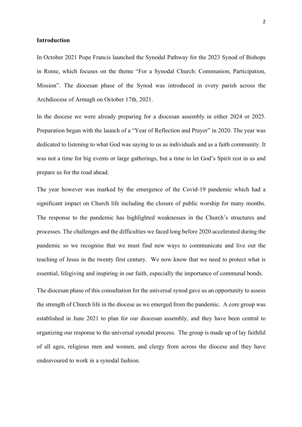## **Introduction**

In October 2021 Pope Francis launched the Synodal Pathway for the 2023 Synod of Bishops in Rome, which focuses on the theme "For a Synodal Church: Communion, Participation, Mission". The diocesan phase of the Synod was introduced in every parish across the Archdiocese of Armagh on October 17th, 2021.

In the diocese we were already preparing for a diocesan assembly in either 2024 or 2025. Preparation began with the launch of a "Year of Reflection and Prayer" in 2020. The year was dedicated to listening to what God was saying to us as individuals and as a faith community. It was not a time for big events or large gatherings, but a time to let God's Spirit rest in us and prepare us for the road ahead.

The year however was marked by the emergence of the Covid-19 pandemic which had a significant impact on Church life including the closure of public worship for many months. The response to the pandemic has highlighted weaknesses in the Church's structures and processes. The challenges and the difficulties we faced long before 2020 accelerated during the pandemic so we recognise that we must find new ways to communicate and live out the teaching of Jesus in the twenty first century. We now know that we need to protect what is essential, lifegiving and inspiring in our faith, especially the importance of communal bonds.

The diocesan phase of this consultation for the universal synod gave us an opportunity to assess the strength of Church life in the diocese as we emerged from the pandemic. A core group was established in June 2021 to plan for our diocesan assembly, and they have been central to organizing our response to the universal synodal process. The group is made up of lay faithful of all ages, religious men and women, and clergy from across the diocese and they have endeavoured to work in a synodal fashion.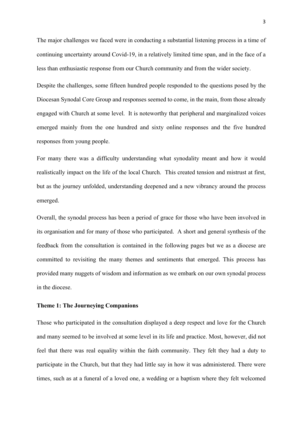The major challenges we faced were in conducting a substantial listening process in a time of continuing uncertainty around Covid-19, in a relatively limited time span, and in the face of a less than enthusiastic response from our Church community and from the wider society.

Despite the challenges, some fifteen hundred people responded to the questions posed by the Diocesan Synodal Core Group and responses seemed to come, in the main, from those already engaged with Church at some level. It is noteworthy that peripheral and marginalized voices emerged mainly from the one hundred and sixty online responses and the five hundred responses from young people.

For many there was a difficulty understanding what synodality meant and how it would realistically impact on the life of the local Church. This created tension and mistrust at first, but as the journey unfolded, understanding deepened and a new vibrancy around the process emerged.

Overall, the synodal process has been a period of grace for those who have been involved in its organisation and for many of those who participated. A short and general synthesis of the feedback from the consultation is contained in the following pages but we as a diocese are committed to revisiting the many themes and sentiments that emerged. This process has provided many nuggets of wisdom and information as we embark on our own synodal process in the diocese.

#### **Theme 1: The Journeying Companions**

Those who participated in the consultation displayed a deep respect and love for the Church and many seemed to be involved at some level in its life and practice. Most, however, did not feel that there was real equality within the faith community. They felt they had a duty to participate in the Church, but that they had little say in how it was administered. There were times, such as at a funeral of a loved one, a wedding or a baptism where they felt welcomed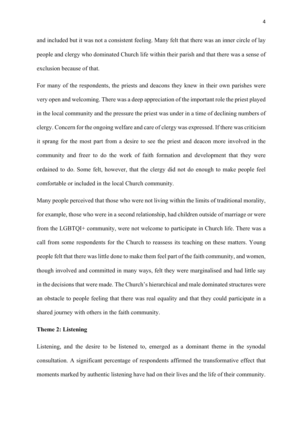and included but it was not a consistent feeling. Many felt that there was an inner circle of lay people and clergy who dominated Church life within their parish and that there was a sense of exclusion because of that.

For many of the respondents, the priests and deacons they knew in their own parishes were very open and welcoming. There was a deep appreciation of the important role the priest played in the local community and the pressure the priest was under in a time of declining numbers of clergy. Concern for the ongoing welfare and care of clergy was expressed. If there was criticism it sprang for the most part from a desire to see the priest and deacon more involved in the community and freer to do the work of faith formation and development that they were ordained to do. Some felt, however, that the clergy did not do enough to make people feel comfortable or included in the local Church community.

Many people perceived that those who were not living within the limits of traditional morality, for example, those who were in a second relationship, had children outside of marriage or were from the LGBTQI+ community, were not welcome to participate in Church life. There was a call from some respondents for the Church to reassess its teaching on these matters. Young people felt that there was little done to make them feel part of the faith community, and women, though involved and committed in many ways, felt they were marginalised and had little say in the decisions that were made. The Church's hierarchical and male dominated structures were an obstacle to people feeling that there was real equality and that they could participate in a shared journey with others in the faith community.

## **Theme 2: Listening**

Listening, and the desire to be listened to, emerged as a dominant theme in the synodal consultation. A significant percentage of respondents affirmed the transformative effect that moments marked by authentic listening have had on their lives and the life of their community.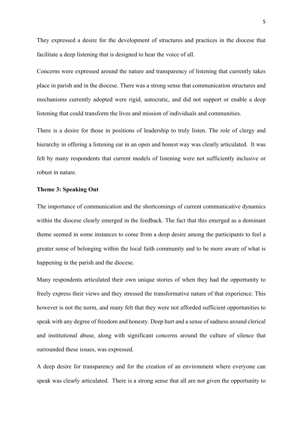They expressed a desire for the development of structures and practices in the diocese that facilitate a deep listening that is designed to hear the voice of all.

Concerns were expressed around the nature and transparency of listening that currently takes place in parish and in the diocese. There was a strong sense that communication structures and mechanisms currently adopted were rigid, autocratic, and did not support or enable a deep listening that could transform the lives and mission of individuals and communities.

There is a desire for those in positions of leadership to truly listen. The role of clergy and hierarchy in offering a listening ear in an open and honest way was clearly articulated. It was felt by many respondents that current models of listening were not sufficiently inclusive or robust in nature.

## **Theme 3: Speaking Out**

The importance of communication and the shortcomings of current communicative dynamics within the diocese clearly emerged in the feedback. The fact that this emerged as a dominant theme seemed in some instances to come from a deep desire among the participants to feel a greater sense of belonging within the local faith community and to be more aware of what is happening in the parish and the diocese.

Many respondents articulated their own unique stories of when they had the opportunity to freely express their views and they stressed the transformative nature of that experience. This however is not the norm, and many felt that they were not afforded sufficient opportunities to speak with any degree of freedom and honesty. Deep hurt and a sense of sadness around clerical and institutional abuse, along with significant concerns around the culture of silence that surrounded these issues, was expressed.

A deep desire for transparency and for the creation of an environment where everyone can speak was clearly articulated. There is a strong sense that all are not given the opportunity to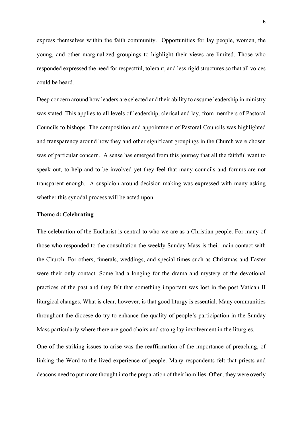express themselves within the faith community. Opportunities for lay people, women, the young, and other marginalized groupings to highlight their views are limited. Those who responded expressed the need for respectful, tolerant, and less rigid structures so that all voices could be heard.

Deep concern around how leaders are selected and their ability to assume leadership in ministry was stated. This applies to all levels of leadership, clerical and lay, from members of Pastoral Councils to bishops. The composition and appointment of Pastoral Councils was highlighted and transparency around how they and other significant groupings in the Church were chosen was of particular concern. A sense has emerged from this journey that all the faithful want to speak out, to help and to be involved yet they feel that many councils and forums are not transparent enough. A suspicion around decision making was expressed with many asking whether this synodal process will be acted upon.

### **Theme 4: Celebrating**

The celebration of the Eucharist is central to who we are as a Christian people. For many of those who responded to the consultation the weekly Sunday Mass is their main contact with the Church. For others, funerals, weddings, and special times such as Christmas and Easter were their only contact. Some had a longing for the drama and mystery of the devotional practices of the past and they felt that something important was lost in the post Vatican II liturgical changes. What is clear, however, is that good liturgy is essential. Many communities throughout the diocese do try to enhance the quality of people's participation in the Sunday Mass particularly where there are good choirs and strong lay involvement in the liturgies.

One of the striking issues to arise was the reaffirmation of the importance of preaching, of linking the Word to the lived experience of people. Many respondents felt that priests and deacons need to put more thought into the preparation of their homilies. Often, they were overly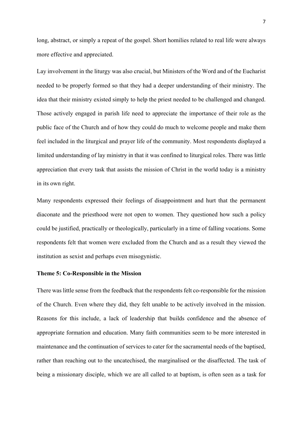long, abstract, or simply a repeat of the gospel. Short homilies related to real life were always more effective and appreciated.

Lay involvement in the liturgy was also crucial, but Ministers of the Word and of the Eucharist needed to be properly formed so that they had a deeper understanding of their ministry. The idea that their ministry existed simply to help the priest needed to be challenged and changed. Those actively engaged in parish life need to appreciate the importance of their role as the public face of the Church and of how they could do much to welcome people and make them feel included in the liturgical and prayer life of the community. Most respondents displayed a limited understanding of lay ministry in that it was confined to liturgical roles. There was little appreciation that every task that assists the mission of Christ in the world today is a ministry in its own right.

Many respondents expressed their feelings of disappointment and hurt that the permanent diaconate and the priesthood were not open to women. They questioned how such a policy could be justified, practically or theologically, particularly in a time of falling vocations. Some respondents felt that women were excluded from the Church and as a result they viewed the institution as sexist and perhaps even misogynistic.

#### **Theme 5: Co-Responsible in the Mission**

There was little sense from the feedback that the respondents felt co-responsible for the mission of the Church. Even where they did, they felt unable to be actively involved in the mission. Reasons for this include, a lack of leadership that builds confidence and the absence of appropriate formation and education. Many faith communities seem to be more interested in maintenance and the continuation of services to cater for the sacramental needs of the baptised, rather than reaching out to the uncatechised, the marginalised or the disaffected. The task of being a missionary disciple, which we are all called to at baptism, is often seen as a task for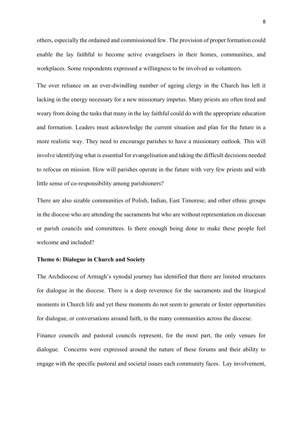others, especially the ordained and commissioned few. The provision of proper formation could enable the lay faithful to become active evangelisers in their homes, communities, and workplaces. Some respondents expressed a willingness to be involved as volunteers.

The over reliance on an ever-dwindling number of ageing clergy in the Church has left it lacking in the energy necessary for a new missionary impetus. Many priests are often tired and weary from doing the tasks that many in the lay faithful could do with the appropriate education and formation. Leaders must acknowledge the current situation and plan for the future in a more realistic way. They need to encourage parishes to have a missionary outlook. This will involve identifying what is essential for evangelisation and taking the difficult decisions needed to refocus on mission. How will parishes operate in the future with very few priests and with little sense of co-responsibility among parishioners?

There are also sizable communities of Polish, Indian, East Timorese, and other ethnic groups in the diocese who are attending the sacraments but who are without representation on diocesan or parish councils and committees. Is there enough being done to make these people feel welcome and included?

## **Theme 6: Dialogue in Church and Society**

The Archdiocese of Armagh's synodal journey has identified that there are limited structures for dialogue in the diocese. There is a deep reverence for the sacraments and the liturgical moments in Church life and yet these moments do not seem to generate or foster opportunities for dialogue, or conversations around faith, in the many communities across the diocese.

Finance councils and pastoral councils represent, for the most part, the only venues for dialogue. Concerns were expressed around the nature of these forums and their ability to engage with the specific pastoral and societal issues each community faces. Lay involvement,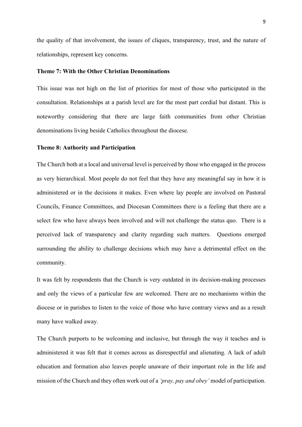the quality of that involvement, the issues of cliques, transparency, trust, and the nature of relationships, represent key concerns.

## **Theme 7: With the Other Christian Denominations**

This issue was not high on the list of priorities for most of those who participated in the consultation. Relationships at a parish level are for the most part cordial but distant. This is noteworthy considering that there are large faith communities from other Christian denominations living beside Catholics throughout the diocese.

## **Theme 8: Authority and Participation**

The Church both at a local and universal level is perceived by those who engaged in the process as very hierarchical. Most people do not feel that they have any meaningful say in how it is administered or in the decisions it makes. Even where lay people are involved on Pastoral Councils, Finance Committees, and Diocesan Committees there is a feeling that there are a select few who have always been involved and will not challenge the status quo. There is a perceived lack of transparency and clarity regarding such matters. Questions emerged surrounding the ability to challenge decisions which may have a detrimental effect on the community.

It was felt by respondents that the Church is very outdated in its decision-making processes and only the views of a particular few are welcomed. There are no mechanisms within the diocese or in parishes to listen to the voice of those who have contrary views and as a result many have walked away.

The Church purports to be welcoming and inclusive, but through the way it teaches and is administered it was felt that it comes across as disrespectful and alienating. A lack of adult education and formation also leaves people unaware of their important role in the life and mission of the Church and they often work out of a *'pray, pay and obey'* model of participation.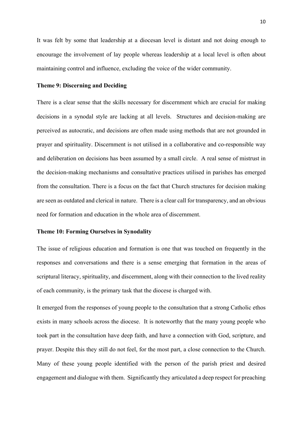It was felt by some that leadership at a diocesan level is distant and not doing enough to encourage the involvement of lay people whereas leadership at a local level is often about maintaining control and influence, excluding the voice of the wider community.

## **Theme 9: Discerning and Deciding**

There is a clear sense that the skills necessary for discernment which are crucial for making decisions in a synodal style are lacking at all levels. Structures and decision-making are perceived as autocratic, and decisions are often made using methods that are not grounded in prayer and spirituality. Discernment is not utilised in a collaborative and co-responsible way and deliberation on decisions has been assumed by a small circle. A real sense of mistrust in the decision-making mechanisms and consultative practices utilised in parishes has emerged from the consultation. There is a focus on the fact that Church structures for decision making are seen as outdated and clerical in nature. There is a clear call for transparency, and an obvious need for formation and education in the whole area of discernment.

### **Theme 10: Forming Ourselves in Synodality**

The issue of religious education and formation is one that was touched on frequently in the responses and conversations and there is a sense emerging that formation in the areas of scriptural literacy, spirituality, and discernment, along with their connection to the lived reality of each community, is the primary task that the diocese is charged with.

It emerged from the responses of young people to the consultation that a strong Catholic ethos exists in many schools across the diocese. It is noteworthy that the many young people who took part in the consultation have deep faith, and have a connection with God, scripture, and prayer. Despite this they still do not feel, for the most part, a close connection to the Church. Many of these young people identified with the person of the parish priest and desired engagement and dialogue with them. Significantly they articulated a deep respect for preaching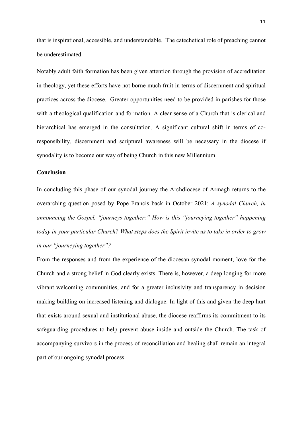that is inspirational, accessible, and understandable. The catechetical role of preaching cannot be underestimated.

Notably adult faith formation has been given attention through the provision of accreditation in theology, yet these efforts have not borne much fruit in terms of discernment and spiritual practices across the diocese. Greater opportunities need to be provided in parishes for those with a theological qualification and formation. A clear sense of a Church that is clerical and hierarchical has emerged in the consultation. A significant cultural shift in terms of coresponsibility, discernment and scriptural awareness will be necessary in the diocese if synodality is to become our way of being Church in this new Millennium.

## **Conclusion**

In concluding this phase of our synodal journey the Archdiocese of Armagh returns to the overarching question posed by Pope Francis back in October 2021: *A synodal Church, in announcing the Gospel, "journeys together:" How is this "journeying together" happening today in your particular Church? What steps does the Spirit invite us to take in order to grow in our "journeying together"?*

From the responses and from the experience of the diocesan synodal moment, love for the Church and a strong belief in God clearly exists. There is, however, a deep longing for more vibrant welcoming communities, and for a greater inclusivity and transparency in decision making building on increased listening and dialogue. In light of this and given the deep hurt that exists around sexual and institutional abuse, the diocese reaffirms its commitment to its safeguarding procedures to help prevent abuse inside and outside the Church. The task of accompanying survivors in the process of reconciliation and healing shall remain an integral part of our ongoing synodal process.